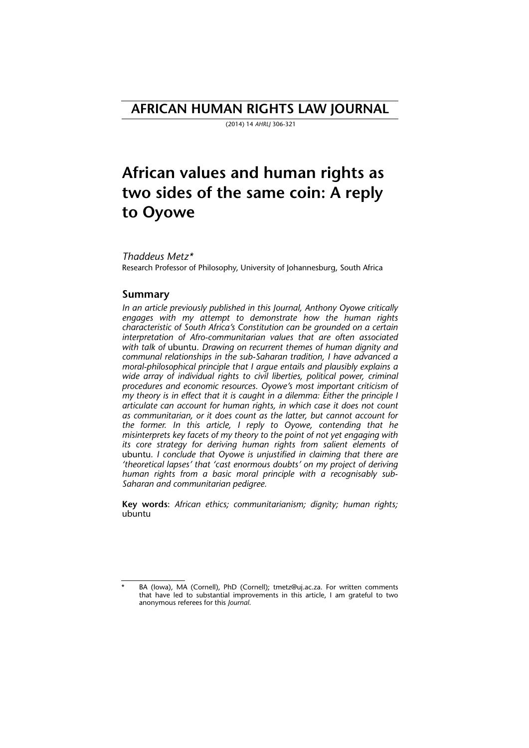# **AFRICAN HUMAN RIGHTS LAW JOURNAL**

(2014) 14 *AHRLJ* 306-321

# **African values and human rights as two sides of the same coin: A reply to Oyowe**

#### *Thaddeus Metz\**

Research Professor of Philosophy, University of Johannesburg, South Africa

### **Summary**

*In an article previously published in this Journal, Anthony Oyowe critically engages with my attempt to demonstrate how the human rights characteristic of South Africa's Constitution can be grounded on a certain interpretation of Afro-communitarian values that are often associated with talk of* ubuntu*. Drawing on recurrent themes of human dignity and communal relationships in the sub-Saharan tradition, I have advanced a moral-philosophical principle that I argue entails and plausibly explains a wide array of individual rights to civil liberties, political power, criminal procedures and economic resources. Oyowe's most important criticism of my theory is in effect that it is caught in a dilemma: Either the principle I articulate can account for human rights, in which case it does not count as communitarian, or it does count as the latter, but cannot account for the former. In this article, I reply to Oyowe, contending that he misinterprets key facets of my theory to the point of not yet engaging with its core strategy for deriving human rights from salient elements of* ubuntu*. I conclude that Oyowe is unjustified in claiming that there are 'theoretical lapses' that 'cast enormous doubts' on my project of deriving human rights from a basic moral principle with a recognisably sub-Saharan and communitarian pedigree.*

**Key words**: *African ethics; communitarianism; dignity; human rights;* ubuntu

BA (Iowa), MA (Cornell), PhD (Cornell); tmetz@uj.ac.za. For written comments that have led to substantial improvements in this article, I am grateful to two anonymous referees for this *Journal*.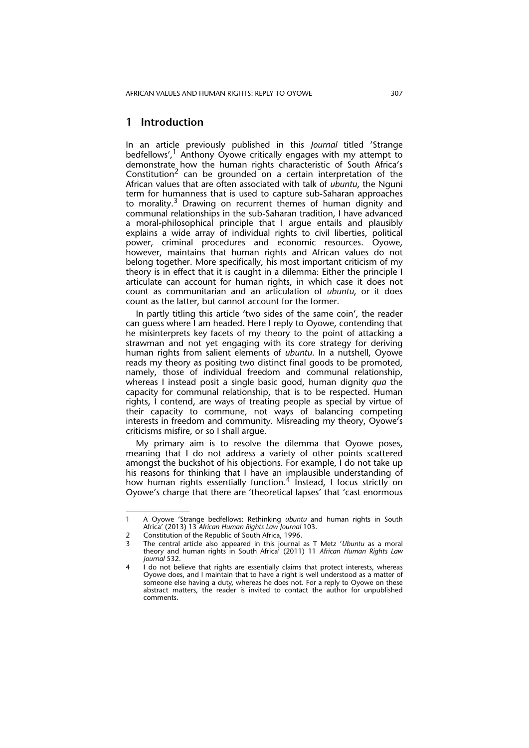## **1 Introduction**

In an article previously published in this *Journal* titled 'Strange bedfellows', $1$  Anthony Oyowe critically engages with my attempt to demonstrate how the human rights characteristic of South Africa's Constitution<sup>2</sup> can be grounded on a certain interpretation of the African values that are often associated with talk of *ubuntu*, the Nguni term for humanness that is used to capture sub-Saharan approaches to morality.<sup>3</sup> Drawing on recurrent themes of human dignity and communal relationships in the sub-Saharan tradition, I have advanced a moral-philosophical principle that I argue entails and plausibly explains a wide array of individual rights to civil liberties, political power, criminal procedures and economic resources. Oyowe, however, maintains that human rights and African values do not belong together. More specifically, his most important criticism of my theory is in effect that it is caught in a dilemma: Either the principle I articulate can account for human rights, in which case it does not count as communitarian and an articulation of *ubuntu*, or it does count as the latter, but cannot account for the former.

In partly titling this article 'two sides of the same coin', the reader can guess where I am headed. Here I reply to Oyowe, contending that he misinterprets key facets of my theory to the point of attacking a strawman and not yet engaging with its core strategy for deriving human rights from salient elements of *ubuntu*. In a nutshell, Oyowe reads my theory as positing two distinct final goods to be promoted, namely, those of individual freedom and communal relationship, whereas I instead posit a single basic good, human dignity *qua* the capacity for communal relationship, that is to be respected. Human rights, I contend, are ways of treating people as special by virtue of their capacity to commune, not ways of balancing competing interests in freedom and community. Misreading my theory, Oyowe's criticisms misfire, or so I shall argue.

My primary aim is to resolve the dilemma that Oyowe poses, meaning that I do not address a variety of other points scattered amongst the buckshot of his objections. For example, I do not take up his reasons for thinking that I have an implausible understanding of how human rights essentially function.<sup>4</sup> Instead, I focus strictly on Oyowe's charge that there are 'theoretical lapses' that 'cast enormous

<sup>1</sup> A Oyowe 'Strange bedfellows: Rethinking *ubuntu* and human rights in South Africa' (2013) 13 *African Human Rights Law Journal* 103.

<sup>2</sup> Constitution of the Republic of South Africa, 1996.<br>The central article also anneared in this journal.

<sup>3</sup> The central article also appeared in this journal as T Metz '*Ubuntu* as a moral theory and human rights in South Africa' (2011) 11 *African Human Rights Law Journal* 532.

I do not believe that rights are essentially claims that protect interests, whereas Oyowe does, and I maintain that to have a right is well understood as a matter of someone else having a duty, whereas he does not. For a reply to Oyowe on these abstract matters, the reader is invited to contact the author for unpublished comments.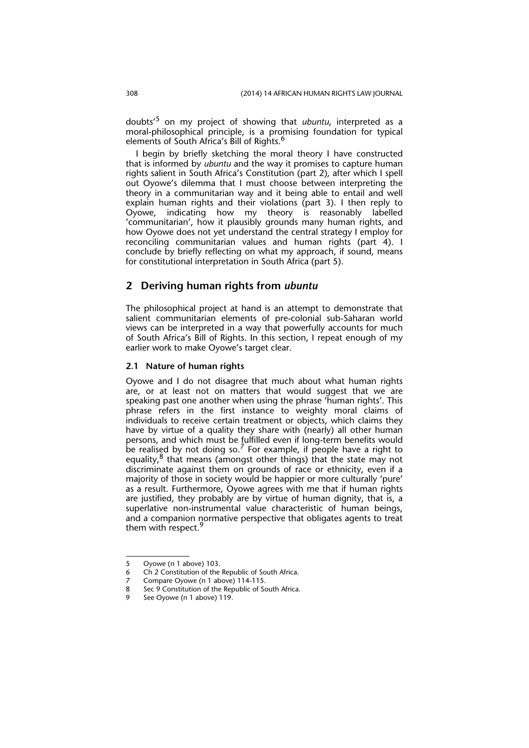doubts'5 on my project of showing that *ubuntu*, interpreted as a moral-philosophical principle, is a promising foundation for typical elements of South Africa's Bill of Rights.<sup>6</sup>

I begin by briefly sketching the moral theory I have constructed that is informed by *ubuntu* and the way it promises to capture human rights salient in South Africa's Constitution (part 2), after which I spell out Oyowe's dilemma that I must choose between interpreting the theory in a communitarian way and it being able to entail and well explain human rights and their violations (part 3). I then reply to Oyowe, indicating how my theory is reasonably labelled 'communitarian', how it plausibly grounds many human rights, and how Oyowe does not yet understand the central strategy I employ for reconciling communitarian values and human rights (part 4). I conclude by briefly reflecting on what my approach, if sound, means for constitutional interpretation in South Africa (part 5).

# **2 Deriving human rights from** *ubuntu*

The philosophical project at hand is an attempt to demonstrate that salient communitarian elements of pre-colonial sub-Saharan world views can be interpreted in a way that powerfully accounts for much of South Africa's Bill of Rights. In this section, I repeat enough of my earlier work to make Oyowe's target clear.

#### **2.1 Nature of human rights**

Oyowe and I do not disagree that much about what human rights are, or at least not on matters that would suggest that we are speaking past one another when using the phrase 'human rights'. This phrase refers in the first instance to weighty moral claims of individuals to receive certain treatment or objects, which claims they have by virtue of a quality they share with (nearly) all other human persons, and which must be fulfilled even if long-term benefits would be realised by not doing so.<sup>7</sup> For example, if people have a right to equality, $8$  that means (amongst other things) that the state may not discriminate against them on grounds of race or ethnicity, even if a majority of those in society would be happier or more culturally 'pure' as a result. Furthermore, Oyowe agrees with me that if human rights are justified, they probably are by virtue of human dignity, that is, a superlative non-instrumental value characteristic of human beings, and a companion normative perspective that obligates agents to treat them with respect.<sup>9</sup>

<sup>5</sup> Oyowe (n 1 above) 103.

<sup>6</sup> Ch 2 Constitution of the Republic of South Africa.

<sup>7</sup> Compare Oyowe (n 1 above) 114-115.<br>8 Sec 9 Constitution of the Republic of So

Sec 9 Constitution of the Republic of South Africa.

<sup>9</sup> See Oyowe (n 1 above) 119.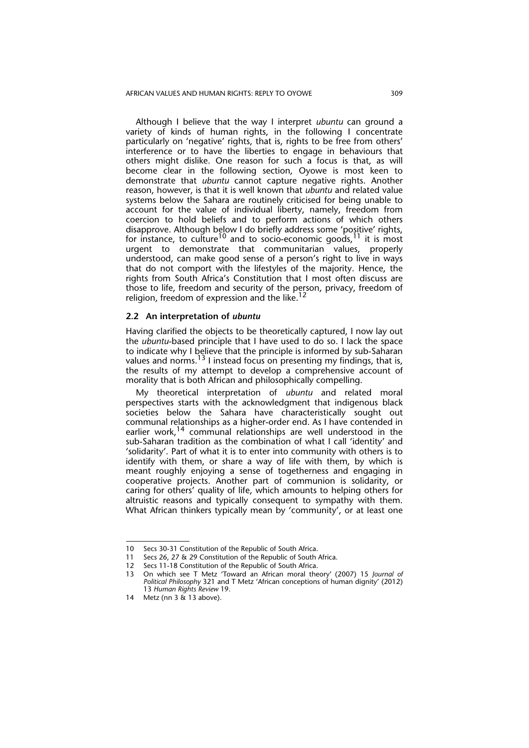Although I believe that the way I interpret *ubuntu* can ground a variety of kinds of human rights, in the following I concentrate particularly on 'negative' rights, that is, rights to be free from others' interference or to have the liberties to engage in behaviours that others might dislike. One reason for such a focus is that, as will become clear in the following section, Oyowe is most keen to demonstrate that *ubuntu* cannot capture negative rights. Another reason, however, is that it is well known that *ubuntu* and related value systems below the Sahara are routinely criticised for being unable to account for the value of individual liberty, namely, freedom from coercion to hold beliefs and to perform actions of which others disapprove. Although below I do briefly address some 'positive' rights, for instance, to culture<sup>10</sup> and to socio-economic goods,<sup>11</sup> it is most urgent to demonstrate that communitarian values, properly understood, can make good sense of a person's right to live in ways that do not comport with the lifestyles of the majority. Hence, the rights from South Africa's Constitution that I most often discuss are those to life, freedom and security of the person, privacy, freedom of religion, freedom of expression and the like.<sup>12</sup>

#### **2.2 An interpretation of** *ubuntu*

Having clarified the objects to be theoretically captured, I now lay out the *ubuntu*-based principle that I have used to do so. I lack the space to indicate why I believe that the principle is informed by sub-Saharan values and norms.<sup>13</sup> I instead focus on presenting my findings, that is, the results of my attempt to develop a comprehensive account of morality that is both African and philosophically compelling.

My theoretical interpretation of *ubuntu* and related moral perspectives starts with the acknowledgment that indigenous black societies below the Sahara have characteristically sought out communal relationships as a higher-order end. As I have contended in earlier work,<sup>14</sup> communal relationships are well understood in the sub-Saharan tradition as the combination of what I call 'identity' and 'solidarity'. Part of what it is to enter into community with others is to identify with them, or share a way of life with them, by which is meant roughly enjoying a sense of togetherness and engaging in cooperative projects. Another part of communion is solidarity, or caring for others' quality of life, which amounts to helping others for altruistic reasons and typically consequent to sympathy with them. What African thinkers typically mean by 'community', or at least one

<sup>10</sup> Secs 30-31 Constitution of the Republic of South Africa.<br>11 Secs 26, 27 & 29 Constitution of the Republic of South

<sup>11</sup> Secs 26, 27 & 29 Constitution of the Republic of South Africa.<br>12 Secs 11-18 Constitution of the Republic of South Africa.

Secs 11-18 Constitution of the Republic of South Africa.

<sup>13</sup> On which see T Metz 'Toward an African moral theory' (2007) 15 *Journal of Political Philosophy* 321 and T Metz 'African conceptions of human dignity' (2012) 13 *Human Rights Review* 19.

<sup>14</sup> Metz (nn 3 & 13 above).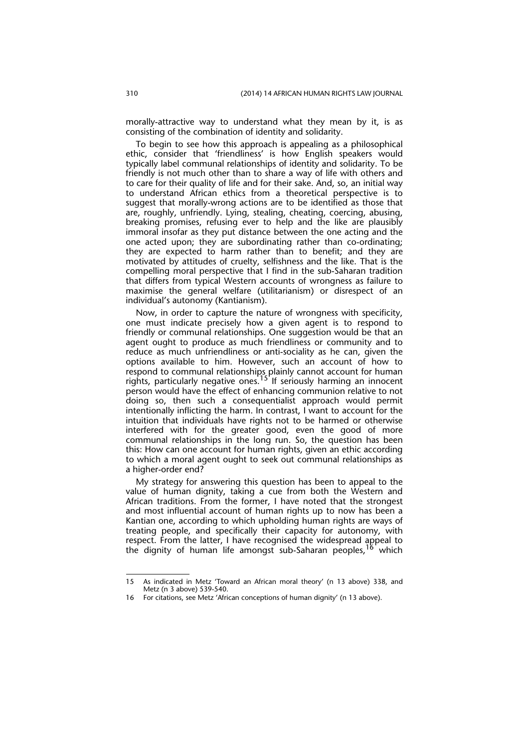morally-attractive way to understand what they mean by it, is as consisting of the combination of identity and solidarity.

To begin to see how this approach is appealing as a philosophical ethic, consider that 'friendliness' is how English speakers would typically label communal relationships of identity and solidarity. To be friendly is not much other than to share a way of life with others and to care for their quality of life and for their sake. And, so, an initial way to understand African ethics from a theoretical perspective is to suggest that morally-wrong actions are to be identified as those that are, roughly, unfriendly. Lying, stealing, cheating, coercing, abusing, breaking promises, refusing ever to help and the like are plausibly immoral insofar as they put distance between the one acting and the one acted upon; they are subordinating rather than co-ordinating; they are expected to harm rather than to benefit; and they are motivated by attitudes of cruelty, selfishness and the like. That is the compelling moral perspective that I find in the sub-Saharan tradition that differs from typical Western accounts of wrongness as failure to maximise the general welfare (utilitarianism) or disrespect of an individual's autonomy (Kantianism).

Now, in order to capture the nature of wrongness with specificity, one must indicate precisely how a given agent is to respond to friendly or communal relationships. One suggestion would be that an agent ought to produce as much friendliness or community and to reduce as much unfriendliness or anti-sociality as he can, given the options available to him. However, such an account of how to respond to communal relationships plainly cannot account for human rights, particularly negative ones.<sup>15'</sup>If seriously harming an innocent person would have the effect of enhancing communion relative to not doing so, then such a consequentialist approach would permit intentionally inflicting the harm. In contrast, I want to account for the intuition that individuals have rights not to be harmed or otherwise interfered with for the greater good, even the good of more communal relationships in the long run. So, the question has been this: How can one account for human rights, given an ethic according to which a moral agent ought to seek out communal relationships as a higher-order end?

My strategy for answering this question has been to appeal to the value of human dignity, taking a cue from both the Western and African traditions. From the former, I have noted that the strongest and most influential account of human rights up to now has been a Kantian one, according to which upholding human rights are ways of treating people, and specifically their capacity for autonomy, with respect. From the latter, I have recognised the widespread appeal to the dignity of human life amongst sub-Saharan peoples,  $16$  which

<sup>15</sup> As indicated in Metz 'Toward an African moral theory' (n 13 above) 338, and Metz (n 3 above) 539-540.

<sup>16</sup> For citations, see Metz 'African conceptions of human dignity' (n 13 above).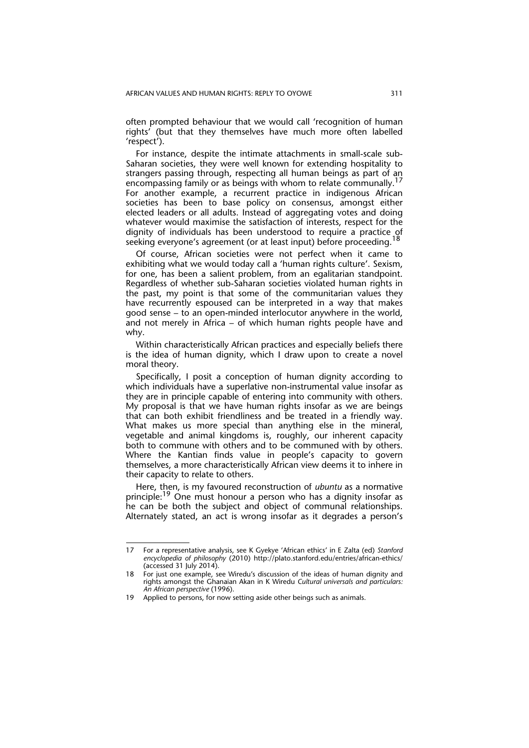often prompted behaviour that we would call 'recognition of human rights' (but that they themselves have much more often labelled 'respect').

For instance, despite the intimate attachments in small-scale sub-Saharan societies, they were well known for extending hospitality to strangers passing through, respecting all human beings as part of an encompassing family or as beings with whom to relate communally.<sup>17</sup> For another example, a recurrent practice in indigenous African societies has been to base policy on consensus, amongst either elected leaders or all adults. Instead of aggregating votes and doing whatever would maximise the satisfaction of interests, respect for the dignity of individuals has been understood to require a practice of seeking everyone's agreement (or at least input) before proceeding.<sup>18</sup>

Of course, African societies were not perfect when it came to exhibiting what we would today call a 'human rights culture'. Sexism, for one, has been a salient problem, from an egalitarian standpoint. Regardless of whether sub-Saharan societies violated human rights in the past, my point is that some of the communitarian values they have recurrently espoused can be interpreted in a way that makes good sense – to an open-minded interlocutor anywhere in the world, and not merely in Africa – of which human rights people have and why.

Within characteristically African practices and especially beliefs there is the idea of human dignity, which I draw upon to create a novel moral theory.

Specifically, I posit a conception of human dignity according to which individuals have a superlative non-instrumental value insofar as they are in principle capable of entering into community with others. My proposal is that we have human rights insofar as we are beings that can both exhibit friendliness and be treated in a friendly way. What makes us more special than anything else in the mineral, vegetable and animal kingdoms is, roughly, our inherent capacity both to commune with others and to be communed with by others. Where the Kantian finds value in people's capacity to govern themselves, a more characteristically African view deems it to inhere in their capacity to relate to others.

Here, then, is my favoured reconstruction of *ubuntu* as a normative principle:<sup>19</sup> One must honour a person who has a dignity insofar as he can be both the subject and object of communal relationships. Alternately stated, an act is wrong insofar as it degrades a person's

<sup>17</sup> For a representative analysis, see K Gyekye 'African ethics' in E Zalta (ed) *Stanford encyclopedia of philosophy* (2010) http://plato.stanford.edu/entries/african-ethics/ (accessed 31 July 2014).

<sup>18</sup> For just one example, see Wiredu's discussion of the ideas of human dignity and rights amongst the Ghanaian Akan in K Wiredu *Cultural universals and particulars: An African perspective* (1996).

<sup>19</sup> Applied to persons, for now setting aside other beings such as animals.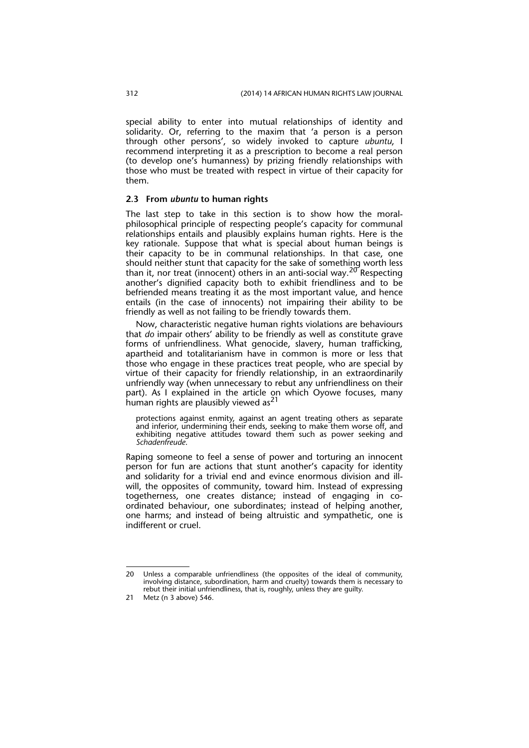special ability to enter into mutual relationships of identity and solidarity. Or, referring to the maxim that 'a person is a person through other persons', so widely invoked to capture *ubuntu*, I recommend interpreting it as a prescription to become a real person (to develop one's humanness) by prizing friendly relationships with those who must be treated with respect in virtue of their capacity for them.

#### **2.3 From** *ubuntu* **to human rights**

The last step to take in this section is to show how the moralphilosophical principle of respecting people's capacity for communal relationships entails and plausibly explains human rights. Here is the key rationale. Suppose that what is special about human beings is their capacity to be in communal relationships. In that case, one should neither stunt that capacity for the sake of something worth less than it, nor treat (innocent) others in an anti-social way.<sup>20</sup> Respecting another's dignified capacity both to exhibit friendliness and to be befriended means treating it as the most important value, and hence entails (in the case of innocents) not impairing their ability to be friendly as well as not failing to be friendly towards them.

Now, characteristic negative human rights violations are behaviours that *do* impair others' ability to be friendly as well as constitute grave forms of unfriendliness. What genocide, slavery, human trafficking, apartheid and totalitarianism have in common is more or less that those who engage in these practices treat people, who are special by virtue of their capacity for friendly relationship, in an extraordinarily unfriendly way (when unnecessary to rebut any unfriendliness on their part). As I explained in the article on which Oyowe focuses, many human rights are plausibly viewed as<sup>21</sup>

protections against enmity, against an agent treating others as separate and inferior, undermining their ends, seeking to make them worse off, and exhibiting negative attitudes toward them such as power seeking and *Schadenfreude*.

Raping someone to feel a sense of power and torturing an innocent person for fun are actions that stunt another's capacity for identity and solidarity for a trivial end and evince enormous division and illwill, the opposites of community, toward him. Instead of expressing togetherness, one creates distance; instead of engaging in coordinated behaviour, one subordinates; instead of helping another, one harms; and instead of being altruistic and sympathetic, one is indifferent or cruel.

<sup>20</sup> Unless a comparable unfriendliness (the opposites of the ideal of community, involving distance, subordination, harm and cruelty) towards them is necessary to rebut their initial unfriendliness, that is, roughly, unless they are guilty.

<sup>21</sup> Metz (n 3 above) 546.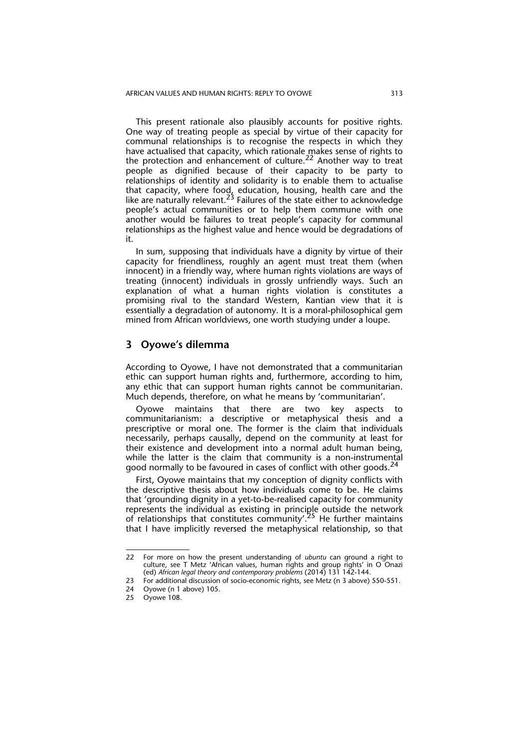This present rationale also plausibly accounts for positive rights. One way of treating people as special by virtue of their capacity for communal relationships is to recognise the respects in which they have actualised that capacity, which rationale makes sense of rights to the protection and enhancement of culture.<sup>22</sup> Another way to treat people as dignified because of their capacity to be party to relationships of identity and solidarity is to enable them to actualise that capacity, where food, education, housing, health care and the like are naturally relevant.<sup>23</sup> Failures of the state either to acknowledge people's actual communities or to help them commune with one another would be failures to treat people's capacity for communal relationships as the highest value and hence would be degradations of it.

In sum, supposing that individuals have a dignity by virtue of their capacity for friendliness, roughly an agent must treat them (when innocent) in a friendly way, where human rights violations are ways of treating (innocent) individuals in grossly unfriendly ways. Such an explanation of what a human rights violation is constitutes a promising rival to the standard Western, Kantian view that it is essentially a degradation of autonomy. It is a moral-philosophical gem mined from African worldviews, one worth studying under a loupe.

# **3 Oyowe's dilemma**

According to Oyowe, I have not demonstrated that a communitarian ethic can support human rights and, furthermore, according to him, any ethic that can support human rights cannot be communitarian. Much depends, therefore, on what he means by 'communitarian'.

Oyowe maintains that there are two key aspects to communitarianism: a descriptive or metaphysical thesis and a prescriptive or moral one. The former is the claim that individuals necessarily, perhaps causally, depend on the community at least for their existence and development into a normal adult human being, while the latter is the claim that community is a non-instrumental good normally to be favoured in cases of conflict with other goods.<sup>24</sup>

First, Oyowe maintains that my conception of dignity conflicts with the descriptive thesis about how individuals come to be. He claims that 'grounding dignity in a yet-to-be-realised capacity for community represents the individual as existing in principle outside the network of relationships that constitutes community'.<sup>25</sup> He further maintains that I have implicitly reversed the metaphysical relationship, so that

<sup>22</sup> For more on how the present understanding of *ubuntu* can ground a right to culture, see T Metz 'African values, human rights and group rights' in O Onazi (ed) *African legal theory and contemporary problems* (2014) 131 142-144.

<sup>23</sup> For additional discussion of socio-economic rights, see Metz (n 3 above) 550-551.<br>24 Ovowe (n 1 above) 105.

Oyowe (n 1 above) 105.

<sup>25</sup> Oyowe 108.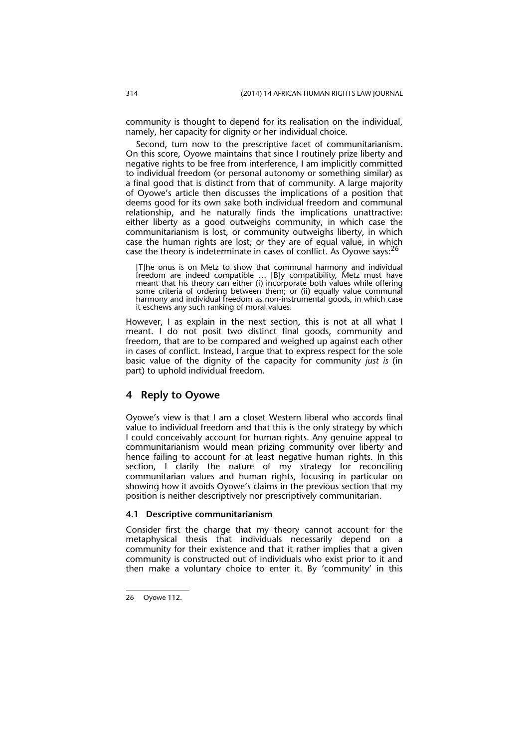community is thought to depend for its realisation on the individual, namely, her capacity for dignity or her individual choice.

Second, turn now to the prescriptive facet of communitarianism. On this score, Oyowe maintains that since I routinely prize liberty and negative rights to be free from interference, I am implicitly committed to individual freedom (or personal autonomy or something similar) as a final good that is distinct from that of community. A large majority of Oyowe's article then discusses the implications of a position that deems good for its own sake both individual freedom and communal relationship, and he naturally finds the implications unattractive: either liberty as a good outweighs community, in which case the communitarianism is lost, or community outweighs liberty, in which case the human rights are lost; or they are of equal value, in which case the theory is indeterminate in cases of conflict. As Oyowe says:<sup>26</sup>

[T]he onus is on Metz to show that communal harmony and individual freedom are indeed compatible … [B]y compatibility, Metz must have meant that his theory can either (i) incorporate both values while offering some criteria of ordering between them; or (ii) equally value communal harmony and individual freedom as non-instrumental goods, in which case it eschews any such ranking of moral values.

However, I as explain in the next section, this is not at all what I meant. I do not posit two distinct final goods, community and freedom, that are to be compared and weighed up against each other in cases of conflict. Instead, I argue that to express respect for the sole basic value of the dignity of the capacity for community *just is* (in part) to uphold individual freedom.

# **4 Reply to Oyowe**

Oyowe's view is that I am a closet Western liberal who accords final value to individual freedom and that this is the only strategy by which I could conceivably account for human rights. Any genuine appeal to communitarianism would mean prizing community over liberty and hence failing to account for at least negative human rights. In this section, I clarify the nature of my strategy for reconciling communitarian values and human rights, focusing in particular on showing how it avoids Oyowe's claims in the previous section that my position is neither descriptively nor prescriptively communitarian.

#### **4.1 Descriptive communitarianism**

Consider first the charge that my theory cannot account for the metaphysical thesis that individuals necessarily depend on a community for their existence and that it rather implies that a given community is constructed out of individuals who exist prior to it and then make a voluntary choice to enter it. By 'community' in this

<sup>26</sup> Oyowe 112.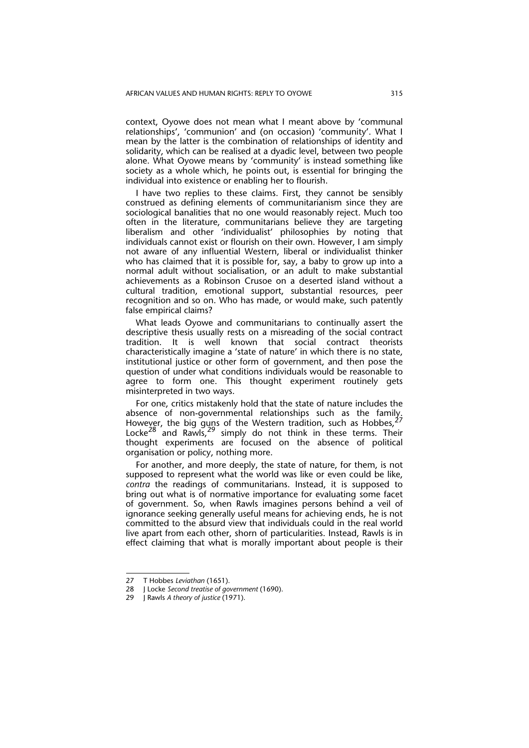context, Oyowe does not mean what I meant above by 'communal relationships', 'communion' and (on occasion) 'community'. What I mean by the latter is the combination of relationships of identity and solidarity, which can be realised at a dyadic level, between two people alone. What Oyowe means by 'community' is instead something like society as a whole which, he points out, is essential for bringing the individual into existence or enabling her to flourish.

I have two replies to these claims. First, they cannot be sensibly construed as defining elements of communitarianism since they are sociological banalities that no one would reasonably reject. Much too often in the literature, communitarians believe they are targeting liberalism and other 'individualist' philosophies by noting that individuals cannot exist or flourish on their own. However, I am simply not aware of any influential Western, liberal or individualist thinker who has claimed that it is possible for, say, a baby to grow up into a normal adult without socialisation, or an adult to make substantial achievements as a Robinson Crusoe on a deserted island without a cultural tradition, emotional support, substantial resources, peer recognition and so on. Who has made, or would make, such patently false empirical claims?

What leads Oyowe and communitarians to continually assert the descriptive thesis usually rests on a misreading of the social contract tradition. It is well known that social contract theorists characteristically imagine a 'state of nature' in which there is no state, institutional justice or other form of government, and then pose the question of under what conditions individuals would be reasonable to agree to form one. This thought experiment routinely gets misinterpreted in two ways.

For one, critics mistakenly hold that the state of nature includes the ru une, chaco inistancing non-city that the sense such as the family. However, the big quns of the Western tradition, such as Hobbes, Locke<sup>28</sup> and Rawls,  $29$  simply do not think in these terms. Their thought experiments are focused on the absence of political organisation or policy, nothing more.

For another, and more deeply, the state of nature, for them, is not supposed to represent what the world was like or even could be like, *contra* the readings of communitarians. Instead, it is supposed to bring out what is of normative importance for evaluating some facet of government. So, when Rawls imagines persons behind a veil of ignorance seeking generally useful means for achieving ends, he is not committed to the absurd view that individuals could in the real world live apart from each other, shorn of particularities. Instead, Rawls is in effect claiming that what is morally important about people is their

<sup>27</sup> T Hobbes *Leviathan* (1651).

<sup>28</sup> J Locke *Second treatise of government* (1690).

<sup>29</sup> J Rawls *A theory of justice* (1971).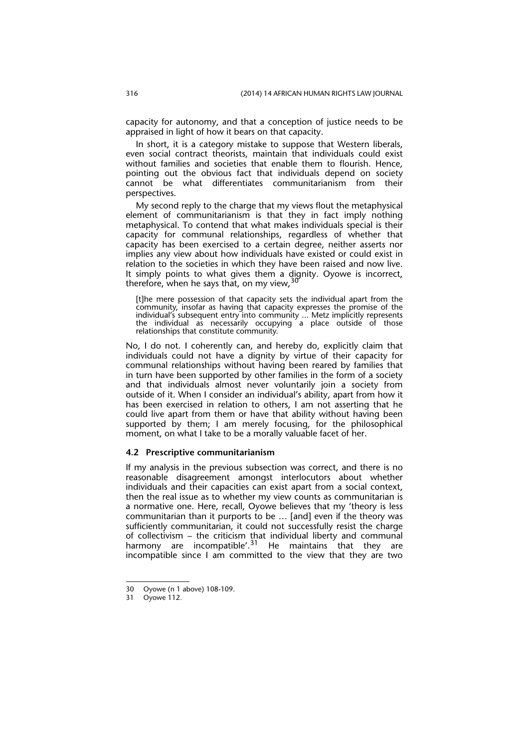capacity for autonomy, and that a conception of justice needs to be appraised in light of how it bears on that capacity.

In short, it is a category mistake to suppose that Western liberals, even social contract theorists, maintain that individuals could exist without families and societies that enable them to flourish. Hence, pointing out the obvious fact that individuals depend on society cannot be what differentiates communitarianism from their perspectives.

My second reply to the charge that my views flout the metaphysical element of communitarianism is that they in fact imply nothing metaphysical. To contend that what makes individuals special is their capacity for communal relationships, regardless of whether that capacity has been exercised to a certain degree, neither asserts nor implies any view about how individuals have existed or could exist in relation to the societies in which they have been raised and now live. It simply points to what gives them a dignity. Oyowe is incorrect, therefore, when he says that, on my view, 30

[t]he mere possession of that capacity sets the individual apart from the community, insofar as having that capacity expresses the promise of the individual's subsequent entry into community ... Metz implicitly represents the individual as necessarily occupying a place outside of those relationships that constitute community.

No, I do not. I coherently can, and hereby do, explicitly claim that individuals could not have a dignity by virtue of their capacity for communal relationships without having been reared by families that in turn have been supported by other families in the form of a society and that individuals almost never voluntarily join a society from outside of it. When I consider an individual's ability, apart from how it has been exercised in relation to others, I am not asserting that he could live apart from them or have that ability without having been supported by them; I am merely focusing, for the philosophical moment, on what I take to be a morally valuable facet of her.

#### **4.2 Prescriptive communitarianism**

If my analysis in the previous subsection was correct, and there is no reasonable disagreement amongst interlocutors about whether individuals and their capacities can exist apart from a social context, then the real issue as to whether my view counts as communitarian is a normative one. Here, recall, Oyowe believes that my 'theory is less communitarian than it purports to be … [and] even if the theory was sufficiently communitarian, it could not successfully resist the charge of collectivism – the criticism that individual liberty and communal harmony are incompatible'.<sup>31</sup> He maintains that they are incompatible since I am committed to the view that they are two

<sup>30</sup> Oyowe (n 1 above) 108-109.

<sup>31</sup> Oyowe 112.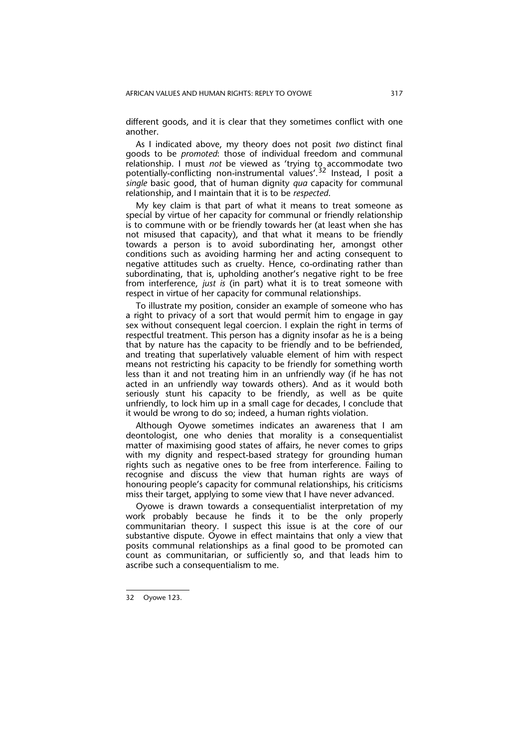different goods, and it is clear that they sometimes conflict with one another.

As I indicated above, my theory does not posit *two* distinct final goods to be *promoted*: those of individual freedom and communal relationship. I must *not* be viewed as 'trying to accommodate two potentially-conflicting non-instrumental values'.32 Instead, I posit a *single* basic good, that of human dignity *qua* capacity for communal relationship, and I maintain that it is to be *respected*.

My key claim is that part of what it means to treat someone as special by virtue of her capacity for communal or friendly relationship is to commune with or be friendly towards her (at least when she has not misused that capacity), and that what it means to be friendly towards a person is to avoid subordinating her, amongst other conditions such as avoiding harming her and acting consequent to negative attitudes such as cruelty. Hence, co-ordinating rather than subordinating, that is, upholding another's negative right to be free from interference, *just is* (in part) what it is to treat someone with respect in virtue of her capacity for communal relationships.

To illustrate my position, consider an example of someone who has a right to privacy of a sort that would permit him to engage in gay sex without consequent legal coercion. I explain the right in terms of respectful treatment. This person has a dignity insofar as he is a being that by nature has the capacity to be friendly and to be befriended, and treating that superlatively valuable element of him with respect means not restricting his capacity to be friendly for something worth less than it and not treating him in an unfriendly way (if he has not acted in an unfriendly way towards others). And as it would both seriously stunt his capacity to be friendly, as well as be quite unfriendly, to lock him up in a small cage for decades, I conclude that it would be wrong to do so; indeed, a human rights violation.

Although Oyowe sometimes indicates an awareness that I am deontologist, one who denies that morality is a consequentialist matter of maximising good states of affairs, he never comes to grips with my dignity and respect-based strategy for grounding human rights such as negative ones to be free from interference. Failing to recognise and discuss the view that human rights are ways of honouring people's capacity for communal relationships, his criticisms miss their target, applying to some view that I have never advanced.

Oyowe is drawn towards a consequentialist interpretation of my work probably because he finds it to be the only properly communitarian theory. I suspect this issue is at the core of our substantive dispute. Oyowe in effect maintains that only a view that posits communal relationships as a final good to be promoted can count as communitarian, or sufficiently so, and that leads him to ascribe such a consequentialism to me.

<sup>32</sup> Oyowe 123.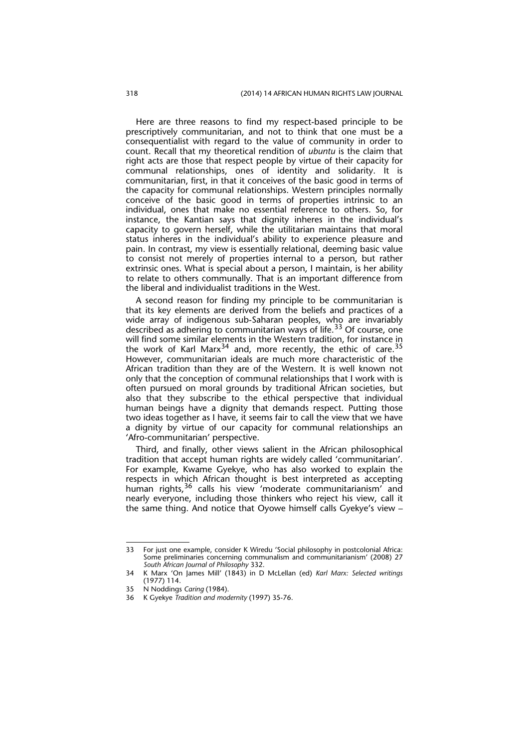Here are three reasons to find my respect-based principle to be prescriptively communitarian, and not to think that one must be a consequentialist with regard to the value of community in order to count. Recall that my theoretical rendition of *ubuntu* is the claim that right acts are those that respect people by virtue of their capacity for communal relationships, ones of identity and solidarity. It is communitarian, first, in that it conceives of the basic good in terms of the capacity for communal relationships. Western principles normally conceive of the basic good in terms of properties intrinsic to an individual, ones that make no essential reference to others. So, for instance, the Kantian says that dignity inheres in the individual's capacity to govern herself, while the utilitarian maintains that moral status inheres in the individual's ability to experience pleasure and pain. In contrast, my view is essentially relational, deeming basic value to consist not merely of properties internal to a person, but rather extrinsic ones. What is special about a person, I maintain, is her ability to relate to others communally. That is an important difference from the liberal and individualist traditions in the West.

A second reason for finding my principle to be communitarian is that its key elements are derived from the beliefs and practices of a wide array of indigenous sub-Saharan peoples, who are invariably described as adhering to communitarian ways of life.<sup>33</sup> Of course, one will find some similar elements in the Western tradition, for instance in the work of Karl Marx $^{34}$  and, more recently, the ethic of care.<sup>35</sup> However, communitarian ideals are much more characteristic of the African tradition than they are of the Western. It is well known not only that the conception of communal relationships that I work with is often pursued on moral grounds by traditional African societies, but also that they subscribe to the ethical perspective that individual human beings have a dignity that demands respect. Putting those two ideas together as I have, it seems fair to call the view that we have a dignity by virtue of our capacity for communal relationships an 'Afro-communitarian' perspective.

Third, and finally, other views salient in the African philosophical tradition that accept human rights are widely called 'communitarian'. For example, Kwame Gyekye, who has also worked to explain the respects in which African thought is best interpreted as accepting human rights,<sup>36</sup> calls his view 'moderate communitarianism' and nearly everyone, including those thinkers who reject his view, call it the same thing. And notice that Oyowe himself calls Gyekye's view –

<sup>33</sup> For just one example, consider K Wiredu 'Social philosophy in postcolonial Africa: Some preliminaries concerning communalism and communitarianism' (2008) 27 *South African Journal of Philosophy* 332.

<sup>34</sup> K Marx 'On James Mill' (1843) in D McLellan (ed) *Karl Marx: Selected writings* (1977) 114.

<sup>35</sup> N Noddings *Caring* (1984).

<sup>36</sup> K Gyekye *Tradition and modernity* (1997) 35-76.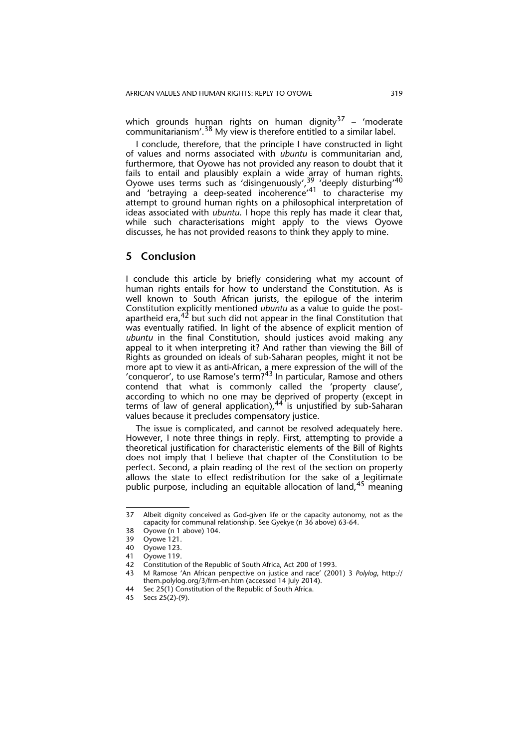which grounds human rights on human dignity<sup>37</sup> – 'moderate communitarianism'.38 My view is therefore entitled to a similar label.

I conclude, therefore, that the principle I have constructed in light of values and norms associated with *ubuntu* is communitarian and, furthermore, that Oyowe has not provided any reason to doubt that it fails to entail and plausibly explain a wide array of human rights. Oyowe uses terms such as 'disingenuously',  $39$  'deeply disturbing'<sup>40</sup> and 'betraying a deep-seated incoherence'<sup>41</sup> to characterise my attempt to ground human rights on a philosophical interpretation of ideas associated with *ubuntu*. I hope this reply has made it clear that, while such characterisations might apply to the views Oyowe discusses, he has not provided reasons to think they apply to mine.

# **5 Conclusion**

I conclude this article by briefly considering what my account of human rights entails for how to understand the Constitution. As is well known to South African jurists, the epilogue of the interim Constitution explicitly mentioned *ubuntu* as a value to guide the postapartheid era, $42$  but such did not appear in the final Constitution that was eventually ratified. In light of the absence of explicit mention of *ubuntu* in the final Constitution, should justices avoid making any appeal to it when interpreting it? And rather than viewing the Bill of Rights as grounded on ideals of sub-Saharan peoples, might it not be more apt to view it as anti-African, a mere expression of the will of the 'conqueror', to use Ramose's term?<sup>43</sup> In particular, Ramose and others contend that what is commonly called the 'property clause', according to which no one may be deprived of property (except in terms of law of general application),  $44$  is unjustified by sub-Saharan values because it precludes compensatory justice.

The issue is complicated, and cannot be resolved adequately here. However, I note three things in reply. First, attempting to provide a theoretical justification for characteristic elements of the Bill of Rights does not imply that I believe that chapter of the Constitution to be perfect. Second, a plain reading of the rest of the section on property allows the state to effect redistribution for the sake of a legitimate public purpose, including an equitable allocation of land,45 meaning

<sup>37</sup> Albeit dignity conceived as God-given life or the capacity autonomy, not as the capacity for communal relationship. See Gyekye (n 36 above) 63-64.

<sup>38</sup> Oyowe (n 1 above) 104.

<sup>39</sup> Oyowe 121.

Oyowe 123.

<sup>41</sup> Oyowe 119.

<sup>42</sup> Constitution of the Republic of South Africa, Act 200 of 1993.

<sup>43</sup> M Ramose 'An African perspective on justice and race' (2001) 3 *Polylog*, http:// them.polylog.org/3/frm-en.htm (accessed 14 July 2014).

<sup>44</sup> Sec 25(1) Constitution of the Republic of South Africa.

<sup>45</sup> Secs 25(2)-(9).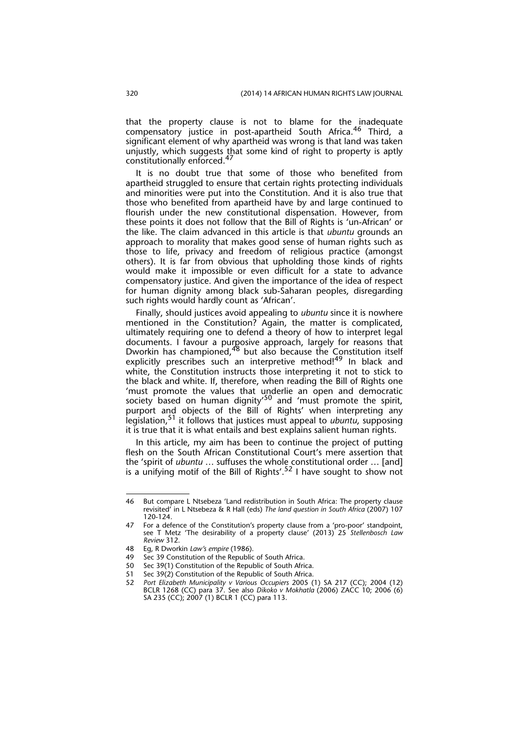that the property clause is not to blame for the inadequate compensatory justice in post-apartheid South Africa.46 Third, a significant element of why apartheid was wrong is that land was taken unjustly, which suggests that some kind of right to property is aptly constitutionally enforced.<sup>47</sup>

It is no doubt true that some of those who benefited from apartheid struggled to ensure that certain rights protecting individuals and minorities were put into the Constitution. And it is also true that those who benefited from apartheid have by and large continued to flourish under the new constitutional dispensation. However, from these points it does not follow that the Bill of Rights is 'un-African' or the like. The claim advanced in this article is that *ubuntu* grounds an approach to morality that makes good sense of human rights such as those to life, privacy and freedom of religious practice (amongst others). It is far from obvious that upholding those kinds of rights would make it impossible or even difficult for a state to advance compensatory justice. And given the importance of the idea of respect for human dignity among black sub-Saharan peoples, disregarding such rights would hardly count as 'African'.

Finally, should justices avoid appealing to *ubuntu* since it is nowhere mentioned in the Constitution? Again, the matter is complicated, ultimately requiring one to defend a theory of how to interpret legal documents. I favour a purposive approach, largely for reasons that Dworkin has championed,<sup>48</sup> but also because the Constitution itself explicitly prescribes such an interpretive method!<sup>49</sup> In black and white, the Constitution instructs those interpreting it not to stick to the black and white. If, therefore, when reading the Bill of Rights one 'must promote the values that underlie an open and democratic society based on human dignity<sup>50</sup> and 'must promote the spirit, purport and objects of the Bill of Rights' when interpreting any legislation,51 it follows that justices must appeal to *ubuntu*, supposing it is true that it is what entails and best explains salient human rights.

In this article, my aim has been to continue the project of putting flesh on the South African Constitutional Court's mere assertion that the 'spirit of *ubuntu* ... suffuses the whole constitutional order ... [and] is a unifying motif of the Bill of Rights'.<sup>52</sup> I have sought to show not

<sup>46</sup> But compare L Ntsebeza 'Land redistribution in South Africa: The property clause revisited' in L Ntsebeza & R Hall (eds) *The land question in South Africa* (2007) 107 120-124.

<sup>47</sup> For a defence of the Constitution's property clause from a 'pro-poor' standpoint, see T Metz 'The desirability of a property clause' (2013) 25 *Stellenbosch Law Review* 312.

<sup>48</sup> Eg, R Dworkin *Law's empire* (1986).

Sec 39 Constitution of the Republic of South Africa.

<sup>50</sup> Sec 39(1) Constitution of the Republic of South Africa.

<sup>51</sup> Sec 39(2) Constitution of the Republic of South Africa.

<sup>52</sup> *Port Elizabeth Municipality v Various Occupiers* 2005 (1) SA 217 (CC); 2004 (12) BCLR 1268 (CC) para 37. See also *Dikoko v Mokhatla* (2006) ZACC 10; 2006 (6) SA 235 (CC); 2007 (1) BCLR 1 (CC) para 113.